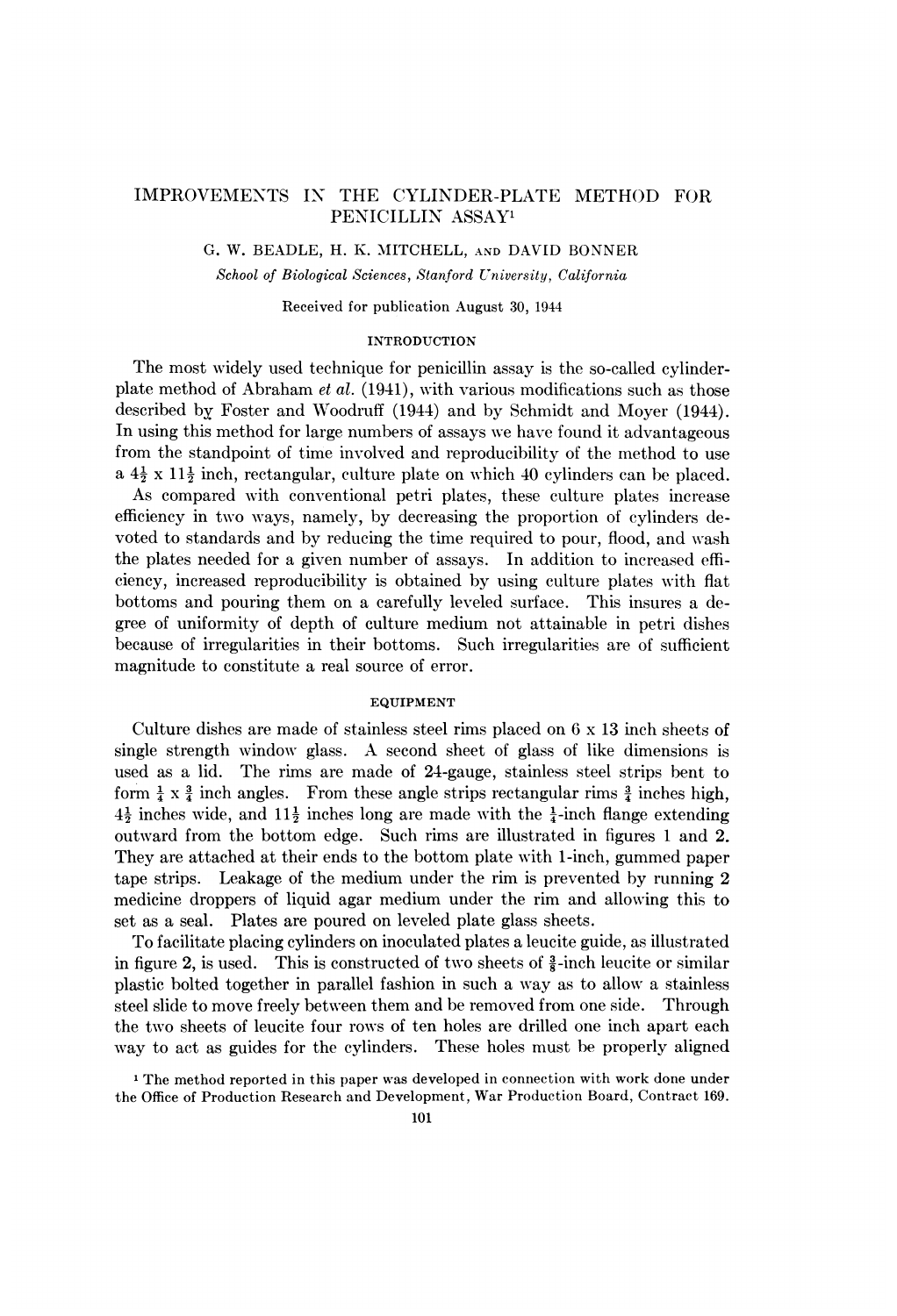# IMPROVEMENTS IN THE CYLINDER-PLATE METHOD FOR PENICILLIN ASSAY<sup>1</sup>

G. W. BEADLE, H. K. MITCHELL, AND DAVID BONNER

School of Biological Sciences, Stanford University, California

Received for publication August 30, 1944

## INTRODUCTION

The most widely used technique for penicillin assay is the so-called cylinderplate method of Abraham et al. (1941), with various modifications such as those described by Foster and Woodruff (1944) and by Schmidt and Moyer (1944). In using this method for large numbers of assays we have found it advantageous from the standpoint of time involved and reproducibility of the method to use a  $4\frac{1}{2} \times 11\frac{1}{2}$  inch, rectangular, culture plate on which 40 cylinders can be placed. As compared with conventional petri plates, these culture plates increase efficiency in two ways, namely, by decreasing the proportion of cylinders de-

voted to standards and by reducing the time required to pour, flood, and wash the plates needed for a given number of assays. In addition to increased efficiency, increased reproducibility is obtained by using culture plates with flat bottoms and pouring them on a carefully leveled surface. This insures a degree of uniformity of depth of culture medium not attainable in petri dishes because of irregularities in their bottoms. Such irregularities are of sufficient magnitude to constitute a real source of error.

#### EQUIPMENT

Culture dishes are made of stainless steel rims placed on 6 x 13 inch sheets of single strength window glass. A second sheet of glass of like dimensions is used as a lid. The rims are made of 24-gauge, stainless steel strips bent to form  $\frac{1}{4} \times \frac{3}{4}$  inch angles. From these angle strips rectangular rims  $\frac{3}{4}$  inches high,  $4\frac{1}{2}$  inches wide, and  $11\frac{1}{2}$  inches long are made with the  $\frac{1}{4}$ -inch flange extending outward from the bottom edge. Such rims are illustrated in figures <sup>1</sup> and 2. They are attached at their ends to the bottom plate with 1-inch, gummed paper tape strips. Leakage of the medium under the rim is prevented by running 2 medicine droppers of liquid agar medium under the rim and allowing this to set as a seal. Plates are poured on leveled plate glass sheets.

To facilitate placing cylinders on inoculated plates a leucite guide, as illustrated in figure 2, is used. This is constructed of two sheets of  $\frac{3}{8}$ -inch leucite or similar plastic bolted together in parallel fashion in such a way as to allow a stainless steel slide to move freely between them and be removed from one side. Through the two sheets of leucite four rows of ten holes are drilled one inch apart each way to act as guides for the cylinders. These holes must be properly aligned

<sup>1</sup> The method reported in this paper was developed in connection with work done under the Office of Production Research and Development, War Production Board, Contract 169.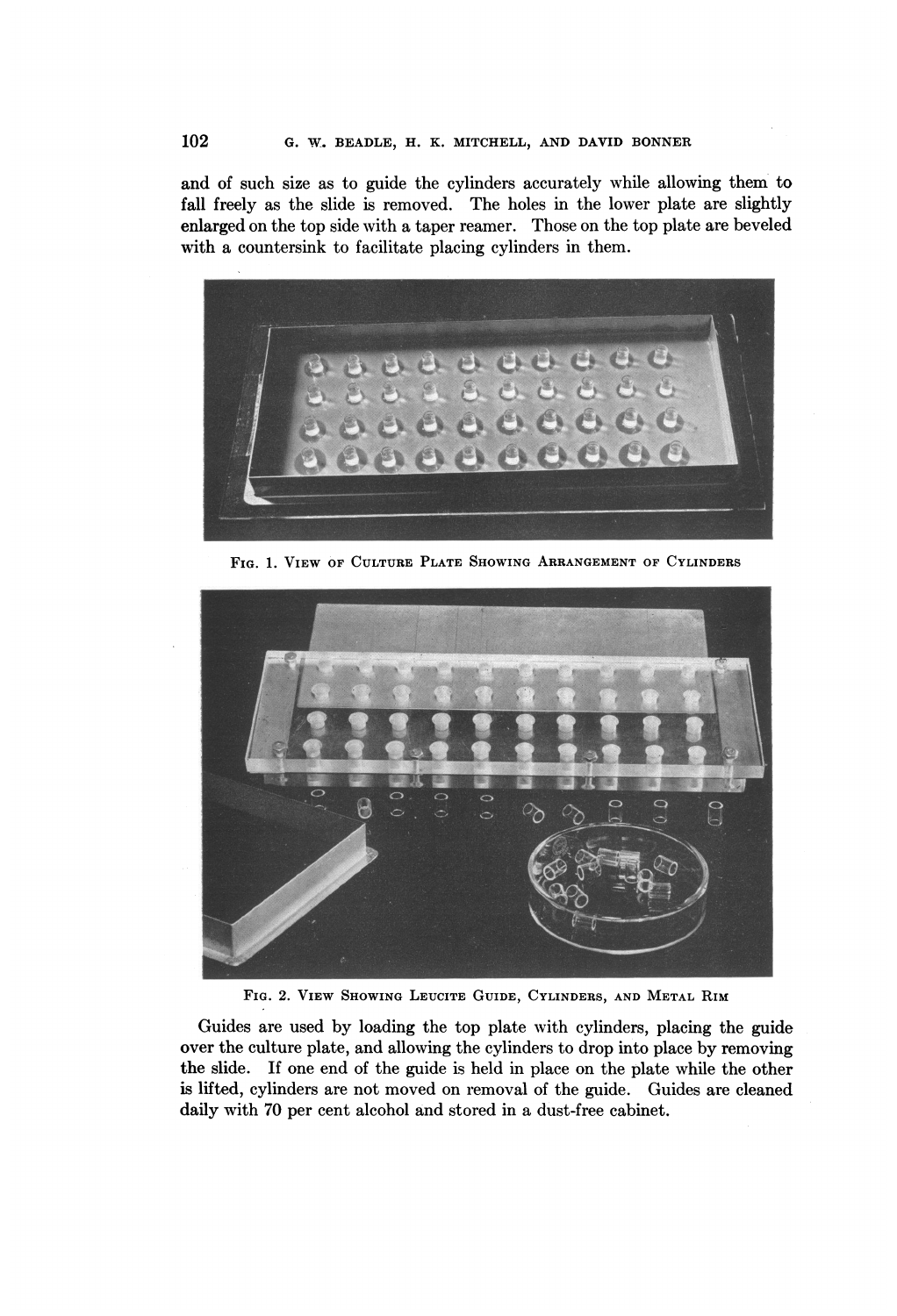and of such size as to guide the cylinders accurately while allowing them to fall freely as the slide is removed. The holes in the lower plate are slightly enlarged on the top side with a taper reamer. Those on the top plate are beveled with a countersink to facilitate placing cylinders in them.



FIG. 1. VIEW OF CULTURE PLATE SHOWING ARRANGEMENT OF CYLINDERS



FIG. 2. VIEW SHOWING LEUCITE GUIDE, CYLINDERS, AND METAL RIM

Guides are used by loading the top plate with cylinders, placing the guide over the culture plate, and allowing the cylinders to drop into place by removing the slide. If one end of the guide is held in place on the plate while the other is lifted, cylinders are not moved on removal of the guide. Guides are cleaned daily with 70 per cent alcohol and stored in a dust-free cabinet.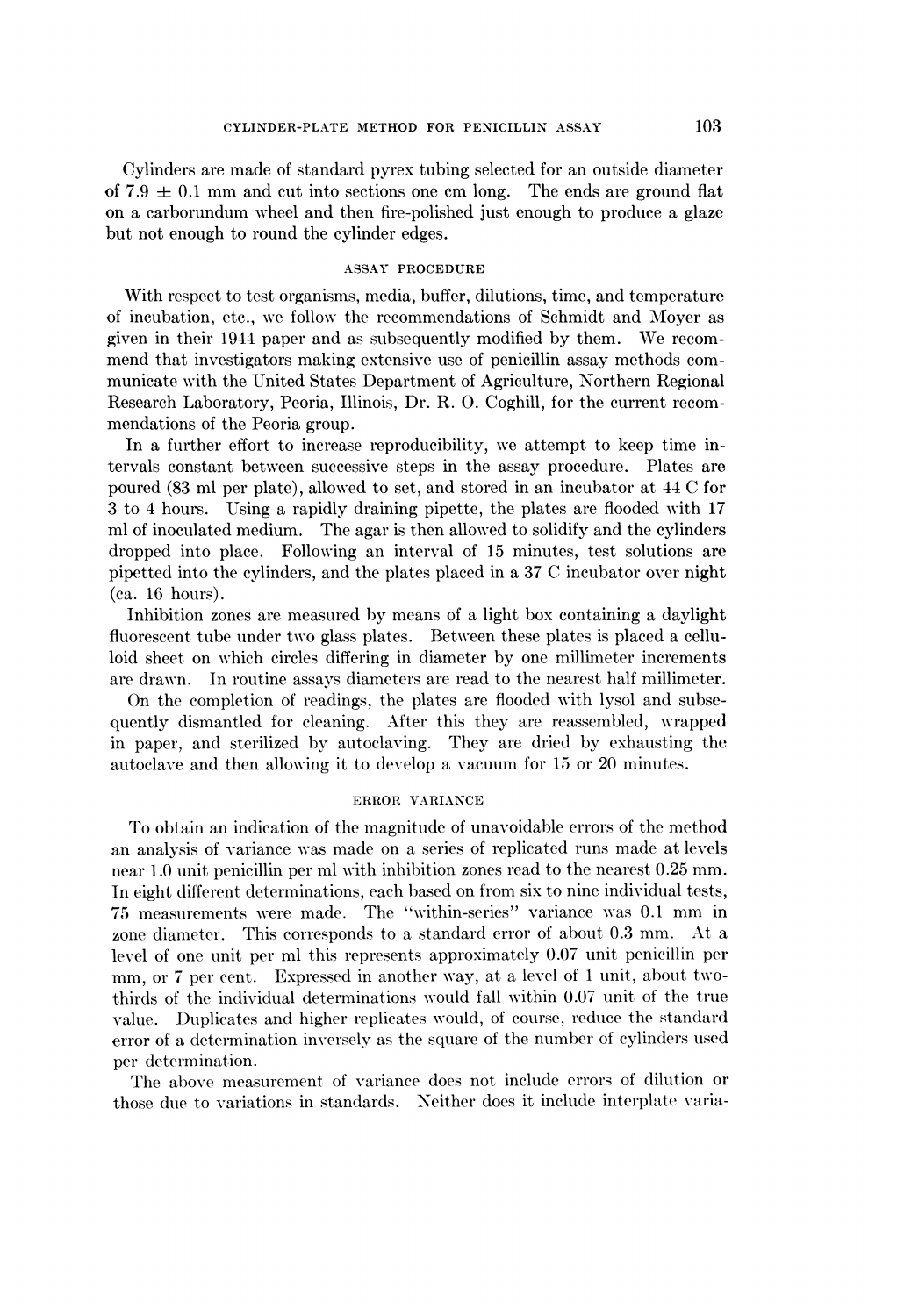Cylinders are made of standard pyrex tubing selected for an outside diameter of 7.9  $\pm$  0.1 mm and cut into sections one cm long. The ends are ground flat on a carborundum wheel and then fire-polished just enough to produce a glaze but not enough to round the cylinder edges.

## ASSAY PROCEDURE

With respect to test organisms, media, buffer, dilutions, time, and temperature of incubation, etc., we follow the recommendations of Schmidt and Moyer as given in their <sup>1944</sup> paper and as subsequently modified by them. We recommend that investigators making extensive use of penicillin assay methods communicate with the United States Department of Agriculture, Northern Regional Research Laboratory, Peoria, Illinois, Dr. R. 0. Coghill, for the current recommendations of the Peoria group.

In a further effort to increase reproducibility, we attempt to keep time intervals constant between successive steps in the assay procedure. Plates are poured (83 ml per plate), allow-ed to set, and stored in an incubator at 44 C for 3 to 4 hours. Using a rapidly draining pipette, the plates are flooded with 17 ml of inoculated medium. The agar is then allowed to solidify and the cylinders dropped into place. Following an interval of 15 minutes, test solutions are pipetted into the cylinders, and the plates placed in a 37 C incubator over night (ca. 16 hours).

Inhibition zones are measured by means of a light box containing a daylight fluorescent tube under two glass plates. Between these plates is placed a celluloid sheet on which circles differing in diameter by one millimeter increments are drawn. In routine assays diameters are read to the nearest half millimeter.

On the completion of readings, the plates are flooded with lysol and subsequently dismantled for cleaning. After this they are reassembled, wrapped in paper, and sterilized by autoclaving. They are dried by exhausting the autoclave and then allowing it to develop a vacuum for 15 or 20 minutes.

## ERROR VARIANCE

To obtain an indication of the magnitude of unavoidable errors of the method an analysis of variance was made on a series of replicated runs made at levels near 1.0 unit penicillin per ml with inhibition zones read to the nearest 0.25 mm. In eight different determinations, each based on from six to nine individual tests, 75 measurements were made. The "within-series" variance was 0.1 mm in zone diameter. This corresponds to <sup>a</sup> standard error of about 0.3 mm. At <sup>a</sup> level of one unit per ml this represents approximately 0.07 unit penicillin per mm, or <sup>7</sup> per cent. Expressed in another way, at a level of <sup>1</sup> unit, about twothirds of the individual determinations would fall within 0.07 unit of the true value. Duplicates and higher replicates would, of course, reduce the standard error of a determination inversely as the square of the number of cylinders used per determination.

The above measurement of variance does not include errors of dilution or those due to variations in standards. Neither does it include interplate varia